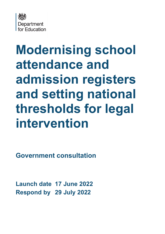

# **Modernising school attendance and admission registers and setting national thresholds for legal intervention**

**Government consultation**

**Launch date 17 June 2022 Respond by 29 July 2022**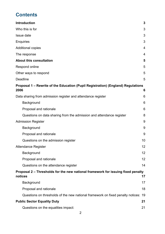# **Contents**

| <b>Introduction</b><br>Who this is for<br>Issue date<br><b>Enquiries</b><br><b>Additional copies</b><br>The response<br><b>About this consultation</b><br>Respond online<br>Other ways to respond<br>Deadline<br>Proposal 1 - Rewrite of the Education (Pupil Registration) (England) Regulations<br>2006<br>Data sharing from admission register and attendance register<br>Background<br>Proposal and rationale<br>Questions on data sharing from the admission and attendance register<br><b>Admission Register</b><br>Background<br>Proposal and rationale<br>Questions on the admission register<br><b>Attendance Register</b><br>Background<br>Proposal and rationale<br>Questions on the attendance register<br>Proposal 2 – Thresholds for the new national framework for issuing fixed penalty<br>notices<br>Background<br>Proposal and rationale<br>Questions on thresholds of the new national framework on fixed penalty notices:<br><b>Public Sector Equality Duty</b><br>21<br>Questions on the equalities impact:<br>21 |    |
|----------------------------------------------------------------------------------------------------------------------------------------------------------------------------------------------------------------------------------------------------------------------------------------------------------------------------------------------------------------------------------------------------------------------------------------------------------------------------------------------------------------------------------------------------------------------------------------------------------------------------------------------------------------------------------------------------------------------------------------------------------------------------------------------------------------------------------------------------------------------------------------------------------------------------------------------------------------------------------------------------------------------------------------|----|
|                                                                                                                                                                                                                                                                                                                                                                                                                                                                                                                                                                                                                                                                                                                                                                                                                                                                                                                                                                                                                                        | 3  |
|                                                                                                                                                                                                                                                                                                                                                                                                                                                                                                                                                                                                                                                                                                                                                                                                                                                                                                                                                                                                                                        | 3  |
|                                                                                                                                                                                                                                                                                                                                                                                                                                                                                                                                                                                                                                                                                                                                                                                                                                                                                                                                                                                                                                        | 3  |
|                                                                                                                                                                                                                                                                                                                                                                                                                                                                                                                                                                                                                                                                                                                                                                                                                                                                                                                                                                                                                                        | 3  |
|                                                                                                                                                                                                                                                                                                                                                                                                                                                                                                                                                                                                                                                                                                                                                                                                                                                                                                                                                                                                                                        | 4  |
|                                                                                                                                                                                                                                                                                                                                                                                                                                                                                                                                                                                                                                                                                                                                                                                                                                                                                                                                                                                                                                        | 4  |
|                                                                                                                                                                                                                                                                                                                                                                                                                                                                                                                                                                                                                                                                                                                                                                                                                                                                                                                                                                                                                                        | 5  |
|                                                                                                                                                                                                                                                                                                                                                                                                                                                                                                                                                                                                                                                                                                                                                                                                                                                                                                                                                                                                                                        | 5  |
|                                                                                                                                                                                                                                                                                                                                                                                                                                                                                                                                                                                                                                                                                                                                                                                                                                                                                                                                                                                                                                        | 5  |
|                                                                                                                                                                                                                                                                                                                                                                                                                                                                                                                                                                                                                                                                                                                                                                                                                                                                                                                                                                                                                                        | 5  |
|                                                                                                                                                                                                                                                                                                                                                                                                                                                                                                                                                                                                                                                                                                                                                                                                                                                                                                                                                                                                                                        |    |
|                                                                                                                                                                                                                                                                                                                                                                                                                                                                                                                                                                                                                                                                                                                                                                                                                                                                                                                                                                                                                                        | 6  |
|                                                                                                                                                                                                                                                                                                                                                                                                                                                                                                                                                                                                                                                                                                                                                                                                                                                                                                                                                                                                                                        | 6  |
|                                                                                                                                                                                                                                                                                                                                                                                                                                                                                                                                                                                                                                                                                                                                                                                                                                                                                                                                                                                                                                        | 6  |
|                                                                                                                                                                                                                                                                                                                                                                                                                                                                                                                                                                                                                                                                                                                                                                                                                                                                                                                                                                                                                                        | 6  |
|                                                                                                                                                                                                                                                                                                                                                                                                                                                                                                                                                                                                                                                                                                                                                                                                                                                                                                                                                                                                                                        | 8  |
|                                                                                                                                                                                                                                                                                                                                                                                                                                                                                                                                                                                                                                                                                                                                                                                                                                                                                                                                                                                                                                        | 9  |
|                                                                                                                                                                                                                                                                                                                                                                                                                                                                                                                                                                                                                                                                                                                                                                                                                                                                                                                                                                                                                                        | 9  |
|                                                                                                                                                                                                                                                                                                                                                                                                                                                                                                                                                                                                                                                                                                                                                                                                                                                                                                                                                                                                                                        | 9  |
|                                                                                                                                                                                                                                                                                                                                                                                                                                                                                                                                                                                                                                                                                                                                                                                                                                                                                                                                                                                                                                        | 10 |
|                                                                                                                                                                                                                                                                                                                                                                                                                                                                                                                                                                                                                                                                                                                                                                                                                                                                                                                                                                                                                                        | 12 |
|                                                                                                                                                                                                                                                                                                                                                                                                                                                                                                                                                                                                                                                                                                                                                                                                                                                                                                                                                                                                                                        | 12 |
|                                                                                                                                                                                                                                                                                                                                                                                                                                                                                                                                                                                                                                                                                                                                                                                                                                                                                                                                                                                                                                        | 12 |
|                                                                                                                                                                                                                                                                                                                                                                                                                                                                                                                                                                                                                                                                                                                                                                                                                                                                                                                                                                                                                                        | 14 |
|                                                                                                                                                                                                                                                                                                                                                                                                                                                                                                                                                                                                                                                                                                                                                                                                                                                                                                                                                                                                                                        | 17 |
|                                                                                                                                                                                                                                                                                                                                                                                                                                                                                                                                                                                                                                                                                                                                                                                                                                                                                                                                                                                                                                        | 17 |
|                                                                                                                                                                                                                                                                                                                                                                                                                                                                                                                                                                                                                                                                                                                                                                                                                                                                                                                                                                                                                                        | 18 |
|                                                                                                                                                                                                                                                                                                                                                                                                                                                                                                                                                                                                                                                                                                                                                                                                                                                                                                                                                                                                                                        | 19 |
|                                                                                                                                                                                                                                                                                                                                                                                                                                                                                                                                                                                                                                                                                                                                                                                                                                                                                                                                                                                                                                        |    |
|                                                                                                                                                                                                                                                                                                                                                                                                                                                                                                                                                                                                                                                                                                                                                                                                                                                                                                                                                                                                                                        |    |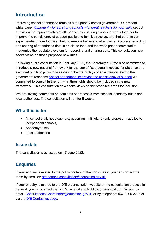# <span id="page-2-0"></span>**Introduction**

Improving school attendance remains a top priority across government. Our recent white paper *[Opportunity for all: strong schools with great teachers for your child](https://www.gov.uk/government/publications/opportunity-for-all-strong-schools-with-great-teachers-for-your-child)* set out our vision for improved rates of attendance by ensuring everyone works together to improve the consistency of support pupils and families receive, and that parents can expect earlier, more focussed help to remove barriers to attendance. Accurate recording and sharing of attendance data is crucial to that, and the white paper committed to modernise the regulatory system for recording and sharing data. This consultation now seeks views on those proposed new rules.

Following public consultation in February 2022, the Secretary of State also committed to introduce a new national framework for the use of fixed penalty notices for absence and excluded pupils in public places during the first 5 days of an exclusion. Within the government response [School attendance: improving the consistency of support](https://www.gov.uk/government/publications/school-attendance-consultation-response) we committed to consult further on what thresholds should be included in the new framework. This consultation now seeks views on the proposed areas for inclusion.

We are inviting comments on both sets of proposals from schools, academy trusts and local authorities. The consultation will run for 6 weeks.

# <span id="page-2-1"></span>**Who this is for**

- All school staff, headteachers, governors in England (only proposal 1 applies to independent schools)
- Academy trusts
- Local authorities

# <span id="page-2-2"></span>**Issue date**

The consultation was issued on 17 June 2022.

# <span id="page-2-3"></span>**Enquiries**

If your enquiry is related to the policy content of the consultation you can contact the team by email at: attendance.consultation@education.gov.uk

If your enquiry is related to the DfE e-consultation website or the consultation process in general, you can contact the DfE Ministerial and Public Communications Division by email: Consultations. Coordinator@education.gov.uk or by telephone: 0370 000 2288 or via the [DfE Contact us page.](https://www.education.gov.uk/help/contactus)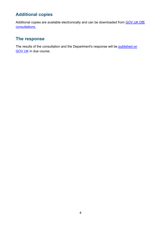# <span id="page-3-0"></span>**Additional copies**

Additional copies are available electronically and can be downloaded from GOV.UK DfE [consultations.](https://www.gov.uk/government/publications?keywords=&publication_filter_option=consultations&topics%5B%5D=all&departments%5B%5D=department-for-education&official_document_status=all&world_locations%5B%5D=all&from_date=&to_date=&commit=Refresh+results)

# <span id="page-3-1"></span>**The response**

The results of the consultation and the Department's response will be published on [GOV.UK](https://www.gov.uk/government/publications?departments%5B%5D=department-for-education&publication_filter_option=consultations) in due course.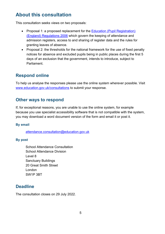# <span id="page-4-0"></span>**About this consultation**

This consultation seeks views on two proposals:

- Proposal 1: a proposed replacement for the Education (Pupil Registration) [\(England\) Regulations 2006](https://www.legislation.gov.uk/uksi/2006/1751/contents/made) which govern the keeping of attendance and admission registers, access to and sharing of register data and the rules for granting leaves of absence.
- Proposal 2: the thresholds for the national framework for the use of fixed penalty notices for absence and excluded pupils being in public places during the first 5 days of an exclusion that the government, intends to introduce, subject to Parliament.

# <span id="page-4-1"></span>**Respond online**

To help us analyse the responses please use the online system wherever possible. Visit [www.education.gov.uk/consultations](http://www.education.gov.uk/consultations) to submit your response.

# <span id="page-4-2"></span>**Other ways to respond**

If, for exceptional reasons, you are unable to use the online system, for example because you use specialist accessibility software that is not compatible with the system, you may download a word document version of the form and email it or post it.

## **By email**

attendance.consultation@education.gov.uk

## **By post**

School Attendance Consultation School Attendance Division Level 8 Sanctuary Buildings 20 Great Smith Street London SW1P 3BT

# <span id="page-4-3"></span>**Deadline**

The consultation closes on 29 July 2022.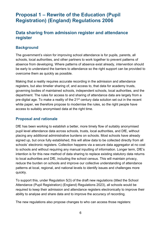# <span id="page-5-0"></span>**Proposal 1 – Rewrite of the Education (Pupil Registration) (England) Regulations 2006**

# <span id="page-5-1"></span>**Data sharing from admission register and attendance register**

## <span id="page-5-2"></span>**Background**

The government's vision for improving school attendance is for pupils, parents, all schools, local authorities, and other partners to work together to prevent patterns of absence from developing. Where patterns of absence exist already, intervention should be early to understand the barriers to attendance so the right support can be provided to overcome them as quickly as possible.

Making that a reality requires accurate recording in the admission and attendance registers, but also timelier sharing of, and access to, that data for academy trusts, governing bodies of maintained schools, independent schools, local authorities, and the department. The rules for access to and sharing of attendance data are largely from a pre-digital age. To make a reality of the 21<sup>st</sup> century data solution set out in the recent white paper, we therefore propose to modernise the rules, so the right people have access to suitably anonymised data at the right time.

## <span id="page-5-3"></span>**Proposal and rationale**

DfE has been working to establish a better, more timely flow of suitably anonymised pupil level attendance data across schools, trusts, local authorities, and DfE, without placing any additional administrative burdens on schools. Most schools have already signed up, but once fully established, this will allow data to be collected directly from all schools' electronic registers. Collection happens via a secure data aggregator at no cost to schools and without requiring any manual inputting of information. Longer term, DfE's intention is for this new method of data sharing to replace existing statutory data returns to local authorities and DfE, including the school census. This will maintain privacy, reduce the burden on schools and improve our collective understanding of attendance patterns at local, regional, and national levels to identify issues and challenges more quickly.

To support this, under Regulation 5(3) of the draft new regulations (titled the School Attendance (Pupil Registration) (England) Regulations 2023), all schools would be required to keep their admission and attendance registers electronically to improve their ability to analyse and share data and to improve the accuracy of recording.

The new regulations also propose changes to who can access those registers: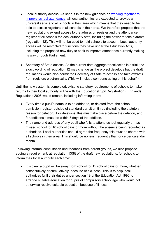- Local authority access: As set out in the new guidance on [working together to](https://www.gov.uk/government/publications/working-together-to-improve-school-attendance)  [improve school attendance,](https://www.gov.uk/government/publications/working-together-to-improve-school-attendance) all local authorities are expected to provide a universal service to all schools in their area which means that they need to be able to access registers at all schools in their area. We therefore propose that the new regulations extend access to the admission register and the attendance register of all schools for local authority staff, including the power to take extracts (regulation 12). This will not be used to hold schools to account. Local authority access will be restricted to functions they have under the Education Acts, including the proposed new duty to seek to improve attendance currently making its way through Parliament.
- Secretary of State access: As the current data aggregator collection is a trial, the exact wording of regulation 12 may change as the project develops but the draft regulations would also permit the Secretary of State to access and take extracts from registers electronically. (This will include someone acting on his behalf.)

Until the new system is completed, existing statutory requirements of schools to make returns to their local authority in line with the Education (Pupil Registration) (England) Regulations 2006 would remain, including informing them:

- Every time a pupil's name is to be added to, or deleted from, the school admission register outside of standard transition times (including the statutory reason for deletion). For deletions, this must take place before the deletion, and for additions it must be within 5 days of the addition.
- The name and address of any pupil who fails to attend school regularly or has missed school for 10 school days or more without the absence being recorded as authorised. Local authorities should agree the frequency this must be shared with all schools in their area. This should be no less frequently than once per calendar month.

Following informal consultation and feedback from parent groups, we also propose adding a requirement, at regulation 13(8) of the draft new regulations, for schools to inform their local authority each time:

• It is clear a pupil will be away from school for 15 school days or more, whether consecutively or cumulatively, because of sickness. This is to help local authorities fulfil their duties under section 19 of the Education Act 1996 to arrange suitable education for pupils of compulsory school age who would not otherwise receive suitable education because of illness.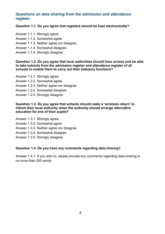## <span id="page-7-0"></span>**Questions on data sharing from the admission and attendance register**

#### **Question 1.1. Do you agree that registers should be kept electronically?**

- Answer 1.1.1. Strongly agree
- Answer 1.1.2. Somewhat agree
- Answer 1.1.3. Neither agree nor disagree
- Answer 1.1.4. Somewhat disagree
- Answer 1.1.5. Strongly disagree

#### **Question 1.2. Do you agree that local authorities should have access and be able to take extracts from the admission register and attendance register of all schools to enable them to carry out their statutory functions?**

Answer 1.2.1. Strongly agree Answer 1.2.2. Somewhat agree Answer 1.2.3. Neither agree nor disagree Answer 1.2.4. Somewhat disagree Answer 1.2.5. Strongly disagree

#### **Question 1.3. Do you agree that schools should make a 'sickness return' to inform their local authority when the authority should arrange alternative education for one of their pupils?**

Answer 1.3.1. Strongly agree

- Answer 1.3.2. Somewhat agree
- Answer 1.3.3. Neither agree nor disagree
- Answer 1.3.4. Somewhat disagree
- Answer 1.3.5. Strongly disagree

#### **Question 1.4. Do you have any comments regarding data sharing?**

Answer 1.4.1. If you wish to, please provide any comments regarding data sharing in no more than 200 words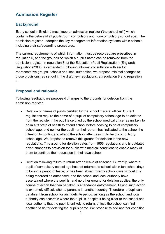# <span id="page-8-0"></span>**Admission Register**

# <span id="page-8-1"></span>**Background**

Every school in England must keep an admission register ('the school roll') which contains the details of all pupils (both compulsory and non-compulsory school age). The admission register underpins the key management information systems within schools, including their safeguarding procedures.

The current requirements of which information must be recorded are prescribed in regulation 5, and the grounds on which a pupil's name can be removed from the admission register in regulation 8, of the Education (Pupil Registration) (England) Regulations 2006, as amended. Following informal consultation with sector representative groups, schools and local authorities, we propose minimal changes to those provisions, as set out in the draft new regulations, at regulation 8 and regulation 9.

# <span id="page-8-2"></span>**Proposal and rationale**

Following feedback, we propose 4 changes to the grounds for deletion from the admission register:

- Deletion of names of pupils certified by the school medical officer: Current regulations require the name of a pupil of compulsory school age to be deleted from the register if the pupil is certified by the school medical officer as unlikely to be in a fit state of health to attend school before ceasing to be of compulsory school age, and neither the pupil nor their parent has indicated to the school the intention to continue to attend the school after ceasing to be of compulsory school age. We propose to remove this ground for deletion in the new regulations. This ground for deletion dates from 1956 regulations and is outdated given changes to provision for pupils with medical conditions to enable many of them to continue their education in their own school.
- Deletion following failure to return after a leave of absence: Currently, where a pupil of compulsory school age has not returned to school within ten school days following a period of leave; or has been absent twenty school days without this being recorded as authorised; and the school and local authority have ascertained where the pupil is, and no other ground for deletion applies, the only course of action that can be taken is attendance enforcement. Taking such action is extremely difficult when a parent is in another country. Therefore, a pupil can be absent from school for an indefinite period, as long as the school and local authority can ascertain where the pupil is, despite it being clear to the school and local authority that the pupil is unlikely to return, unless the school can find another basis for deleting the pupil's name. We propose to add another condition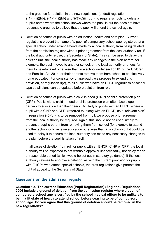to the grounds for deletion in the new regulations (at draft regulation  $9(1)(i)(iii)(bb)$ ,  $9(1)(i)(iii)(bb)$  and  $9(3)(c)(iii)(bb)$ , to require schools to delete a pupil's name where the school knows where the pupil is but the does not have reasonable grounds to believe that the pupil will attend the school again.

- Deletion of names of pupils with an education, health and care plan: Current regulations prevent the name of a pupil of compulsory school age registered at a special school under arrangements made by a local authority from being deleted from the admission register without prior agreement from the local authority (or, if the local authority refuse, the Secretary of State). This can be used to delay the deletion until the local authority has made any changes to the plan before, for example, the pupil moves to another school, or the local authority arranges for them to be educated otherwise than in a school under section 61 of the Children and Families Act 2014, or their parents remove them from school to be electively home educated. For consistency of approach, we propose to extend this provision, at regulation 9(2), to all pupils who have an EHCP regardless of school type so all plans can be updated before deletion from roll.
- Deletion of names of pupils with a child in need (CiNP) or child protection plan (CPP): Pupils with a child in need or child protection plan often face bigger barriers to education than their peers. Similarly to pupils with an EHCP, where a pupil with a CiNP or a CPP, (referred to, along with an EHCP, as a 'relevant plan' in regulation 9(5)(c)), is to be removed from roll, we propose prior agreement from the local authority be required. Again, this should not be used simply to prevent a pupil's parent from removing them from school (for example to attend another school or to receive education otherwise than at a school) but it could be used to delay it to ensure the local authority can make any necessary changes to the plan before the pupil is taken off roll.

In all cases of deletion from roll for pupils with an EHCP, CiNP or CPP, the local authority will be expected to not withhold approval unnecessarily, nor delay for an unreasonable period (which would be set out in statutory guidance). If the local authority refuses to approve a deletion, as with the current provision for pupils with EHCPs who attend special schools, the draft regulations give parents the right of appeal to the Secretary of State.

## <span id="page-9-0"></span>**Questions on the admission register**

**Question 1.5. The current Education (Pupil Registration) (England) Regulations 2006 include a ground of deletion from the admission register where a pupil of compulsory school age is certified by the school medical officer to be unlikely to be in a fit state of health to attend school before ceasing to be of compulsory school age. Do you agree that this ground of deletion should be removed in the new regulations?**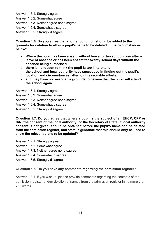- Answer 1.5.1. Strongly agree
- Answer 1.5.2. Somewhat agree
- Answer 1.5.3. Neither agree nor disagree
- Answer 1.5.4. Somewhat disagree
- Answer 1.5.5. Strongly disagree

**Question 1.6. Do you agree that another condition should be added to the grounds for deletion to allow a pupil's name to be deleted in the circumstances below?** 

- **Where the pupil has been absent without leave for ten school days after a leave of absence or has been absent for twenty school days without the absence being authorised,**
- **there is no reason to think the pupil is too ill to attend,**
- **the school and local authority have succeeded in finding out the pupil's location and circumstances, after joint reasonable efforts,**
- **and they have no reasonable grounds to believe that the pupil will attend the school again.**

Answer 1.6.1. Strongly agree

- Answer 1.6.2. Somewhat agree
- Answer 1.6.3. Neither agree nor disagree
- Answer 1.6.4. Somewhat disagree
- Answer 1.6.5. Strongly disagree

**Question 1.7. Do you agree that where a pupil is the subject of an EHCP, CPP or CiNPthe consent of the local authority (or the Secretary of State, if local authority consent is not given) should be obtained before the pupil's name can be deleted from the admission register, and state in guidance that this should only be used to allow the relevant plans to be updated?** 

- Answer 1.7.1. Strongly agree
- Answer 1.7.2. Somewhat agree
- Answer 1.7.3. Neither agree nor disagree
- Answer 1.7.4. Somewhat disagree
- Answer 1.7.5. Strongly disagree

## **Question 1.8. Do you have any comments regarding the admission register?**

Answer 1.8.1. If you wish to, please provide comments regarding the contents of the admission register and/or deletion of names from the admission register in no more than 200 words.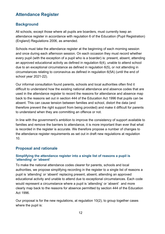# <span id="page-11-0"></span>**Attendance Register**

## <span id="page-11-1"></span>**Background**

All schools, except those where all pupils are boarders, must currently keep an attendance register in accordance with regulation 6 of the Education (Pupil Registration) (England) Regulations 2006, as amended.

Schools must take the attendance register at the beginning of each morning session and once during each afternoon session. On each occasion they must record whether every pupil (with the exception of a pupil who is a boarder) is: present, absent, attending an approved educational activity as defined in regulation 6(4), unable to attend school due to an exceptional circumstance as defined in regulation 6(5), or not attending in circumstances relating to coronavirus as defined in regulation 6(5A) (until the end of school year 2021-22).

Our informal consultation found parents, schools and local authorities often find it difficult to understand how the existing national attendance and absence codes that are used in the attendance register to record the reasons for attendance and absence map back to the reasons set out in section 444 of the Education Act 1996 that pupils can be absent. This can cause tension between families and school, distort the data (and therefore prevent the right support from being provided) and make it difficult for parents to understand when they are committing an offence or not.

In line with the government's ambition to improve the consistency of support available to families and remove the barriers to attendance, it is more important than ever that what is recorded in the register is accurate. We therefore propose a number of changes to the attendance register requirements as set out in draft new regulations at regulation 10.

## <span id="page-11-2"></span>**Proposal and rationale**

## **Simplifying the attendance register into a single list of reasons a pupil is 'attending' or 'absent'**

To make the national attendance codes clearer for parents, schools and local authorities, we propose simplifying recording in the register to a single list of reasons a pupil is 'attending' or 'absent' replacing present, absent, attending an approved educational activity and unable to attend due to exceptional circumstances. Each code would represent a circumstance where a pupil is 'attending' or 'absent' and more clearly map back to the reasons for absence permitted by section 444 of the Education Act 1996.

Our proposal is for the new regulations, at regulation 10(2), to group together cases where the pupil is: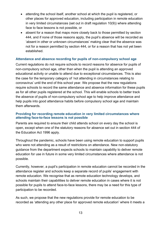- attending the school itself, another school at which the pupil is registered, or other places for approved education, including participation in remote education in very limited circumstances (set out in draft regulation 10(9)) where attending face to face lessons is not possible, or
- absent for a reason that maps more closely back to those permitted by section 444, and if none of those reasons apply, the pupil's absence will be recorded as 'absent in other or unknown circumstances' making clear that the absence was not for a reason permitted by section 444, or for a reason that has not yet been established.

#### **Attendance and absence recording for pupils of non-compulsory school age**

Current regulations do not require schools to record reasons for absence for pupils of non-compulsory school age, other than when the pupil is attending an approved educational activity or unable to attend due to exceptional circumstances. This is also the case for the temporary category of 'not attending in circumstances relating to coronavirus' until the end of this school year. We propose that the new regulations require schools to record the same attendance and absence information for these pupils as for all other pupils registered at the school. This will enable schools to better track the absence of pupils of non-compulsory school age to help improve attendance and help pupils into good attendance habits before compulsory school age and maintain them afterwards.

#### **Providing for recording remote education in very limited circumstances where attending face-to-face lessons is not possible**

Parents are required to ensure their child attends school on every day the school is open, except when one of the statutory reasons for absence set out in section 444 of the Education Act 1996 apply.

Throughout the pandemic, schools have been using remote education to support pupils who were not attending as a result of restrictions on attendance. New non-statutory guidance from the department expects schools to maintain capability to deliver remote education for use in future in some very limited circumstances where attendance is not possible.

Currently, however, a pupil's participation in remote education cannot be recorded in the attendance register and schools keep a separate record of pupils' engagement with remote education. We recognise that as remote education technology develops, and schools maintain their capabilities to deliver remote education in cases where it is not possible for pupils to attend face-to-face lessons, there may be a need for this type of participation to be recorded.

As such, we propose that the new regulations provide for remote education to be recorded as 'attending any other place for approved remote education' where it meets a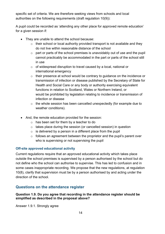specific set of criteria. We are therefore seeking views from schools and local authorities on the following requirements (draft regulation 10(9)):

A pupil could be recorded as 'attending any other place for approved remote education' for a given session if:

- They are unable to attend the school because:
	- $\circ$  their school or local authority provided transport is not available and they do not live within reasonable distance of the school
	- $\circ$  part or parts of the school premises is unavoidably out of use and the pupil cannot practicably be accommodated in the part or parts of the school still in use
	- o of widespread disruption to travel caused by a local, national or international emergency
	- o their presence at school would be contrary to guidance on the incidence or transmission of infection or disease published by the Secretary of State for Health and Social Care or any body or authority exercising equivalent functions in relation to Scotland, Wales or Northern Ireland, or would be prohibited by legislation relating to incidence or transmission of infection or disease
	- o the whole session has been cancelled unexpectedly (for example due to weather conditions).
- And, the remote education provided for the session:
	- o has been set for them by a teacher to do
	- o takes place during the session (or cancelled session) in question
	- $\circ$  is delivered by a person in a different place from the pupil
	- $\circ$  follows an agreement between the proprietor and the pupil's parent over who is supervising or not supervising the pupil

## **Off-site approved educational activity**

Current regulations require that an approved educational activity which takes place outside the school premises is supervised by a person authorised by the school but do not define who the school can authorise to supervise. This has led to confusion and in some cases inappropriate recording. We propose that the new regulations, at regulation 10(8), clarify that supervision must be by a person authorised by and acting under the direction of the school.

## <span id="page-13-0"></span>**Questions on the attendance register**

## **Question 1.9. Do you agree that recording in the attendance register should be simplified as described in the proposal above?**

Answer 1.9.1. Strongly agree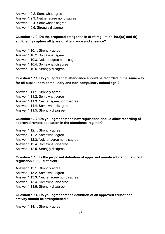Answer 1.9.2. Somewhat agree

- Answer 1.9.3. Neither agree nor disagree
- Answer 1.9.4. Somewhat disagree
- Answer 1.9.5. Strongly disagree

## **Question 1.10. Do the proposed categories in draft regulation 10(2)(a) and (b) sufficiently capture all types of attendance and absence?**

- Answer 1.10.1. Strongly agree
- Answer 1.10.2. Somewhat agree
- Answer 1.10.3. Neither agree nor disagree
- Answer 1.10.4. Somewhat disagree
- Answer 1.10.5. Strongly disagree

## **Question 1.11. Do you agree that attendance should be recorded in the same way for all pupils (both compulsory and non-compulsory school age)?**

- Answer 1.11.1. Strongly agree
- Answer 1.11.2. Somewhat agree
- Answer 1.11.3. Neither agree nor disagree
- Answer 1.11.4. Somewhat disagree
- Answer 1.11.5. Strongly disagree

#### **Question 1.12. Do you agree that the new regulations should allow recording of approved remote education in the attendance register?**

- Answer 1.12.1. Strongly agree
- Answer 1.12.2. Somewhat agree
- Answer 1.12.3. Neither agree nor disagree
- Answer 1.12.4. Somewhat disagree
- Answer 1.12.5. Strongly disagree

#### **Question 1.13. Is the proposed definition of approved remote education (at draft regulation 10(9)) sufficient?**

- Answer 1.13.1. Strongly agree
- Answer 1.13.2. Somewhat agree
- Answer 1.13.3. Neither agree nor disagree
- Answer 1.13.4. Somewhat disagree
- Answer 1.13.5. Strongly disagree

#### **Question 1.14. Do you agree that the definition of an approved educational activity should be strengthened?**

Answer 1.14.1. Strongly agree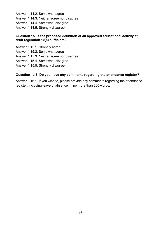Answer 1.14.2. Somewhat agree

- Answer 1.14.3. Neither agree nor disagree
- Answer 1.14.4. Somewhat disagree
- Answer 1.14.5. Strongly disagree

## **Question 15. Is the proposed definition of an approved educational activity at draft regulation 10(8) sufficient?**

- Answer 1.15.1. Strongly agree
- Answer 1.15.2. Somewhat agree
- Answer 1.15.3. Neither agree nor disagree
- Answer 1.15.4. Somewhat disagree
- Answer 1.15.5. Strongly disagree

## **Question 1.16. Do you have any comments regarding the attendance register?**

Answer 1.16.1. If you wish to, please provide any comments regarding the attendance register, including leave of absence, in no more than 200 words.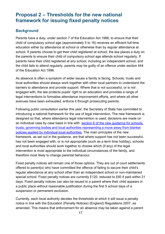# <span id="page-16-0"></span>**Proposal 2 – Thresholds for the new national framework for issuing fixed penalty notices**

## <span id="page-16-1"></span>**Background**

Parents have a duty, under section 7 of the Education Act 1996, to ensure that their child of compulsory school age (approximately 5 to 16) receives an efficient full-time education either by attendance at school or otherwise than by regular attendance at school. If parents choose to get their child registered at school, the law places a duty on the parents to ensure their child of compulsory school age attends school regularly. If parents have their child registered at any school, including an independent school, and the child fails to attend regularly, parents may be guilty of an offence under section 444 of the Education Act 1996.

As absence is often a symptom of wider issues a family is facing. Schools, trusts and local authorities should always work together with other local partners to understand the barriers to attendance and provide support. Where that is not successful, or is not engaged with, the law protects pupils' right to an education and provides a range of legal interventions to formalise attendance improvement efforts, and where all other avenues have been exhausted, enforce it through prosecuting parents.

Following public consultation earlier this year, the Secretary of State has committed to introducing a national framework for the use of legal intervention. The new framework is designed so that, where attendance legal intervention is used, decisions are made on an individual case by case basis in line with section 6 of the new quidance for schools, trusts, governing bodies and local authorities representing a move away from blanket policies applied by individual local authorities. The main principles of the new framework, as set out in the guidance, are that where support has not been successful, has not been engaged with, or is not appropriate (such as a term time holiday), schools and local authorities should work together to choose which (if any) of the legal intervention is most appropriate to the individual circumstances of the family, and therefore most likely to change parental behaviour.

Fixed penalty notices will remain one of those options. They are out of court settlements offered to parent(s) who have committed the offence of failing to secure their child's regular attendance at any school other than an independent school or non-maintained special school. Fixed penalty notices are currently £120, reduced to £60 if paid within 21 days. Fixed penalty notices can also be issued to a parent where their child appears in a public place without reasonable justification during the first 5 school days of a suspension or permanent exclusion.

Currently, each local authority decides the thresholds at which it will issue a penalty notice in line with the Education (Penalty Notices) (England) Regulations 2007, as amended. This means that enforcement for an absence may be taken against a parent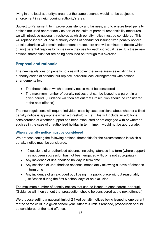living in one local authority's area, but the same absence would not be subject to enforcement in a neighbouring authority's area.

Subject to Parliament, to improve consistency and fairness, and to ensure fixed penalty notices are used appropriately as part of the suite of parental responsibility measures, we will introduce national thresholds at which penalty notice must be considered. This will replace individual local authority codes of conduct for issuing fixed penalty notices. Local authorities will remain independent prosecutors and will continue to decide which (if any) parental responsibility measure they use for each individual case. It is these new national thresholds that are being consulted on through this exercise.

# <span id="page-17-0"></span>**Proposal and rationale**

The new regulations on penalty notices will cover the same areas as existing local authority codes of conduct but replace individual local arrangements with national arrangements for:

- The thresholds at which a penalty notice must be considered
- The maximum number of penalty notices that can be issued to a parent in a given period. (Guidance will then set out that Prosecution should be considered at the next offence)

The new regulations will require individual case by case decisions about whether a fixed penalty notice is appropriate when a threshold is met. This will include an additional consideration of whether support has been exhausted or not engaged with or whether, such as in the case of unauthorised holiday in term time, it would not be appropriate.

## **When a penalty notice must be considered**

We propose setting the following national thresholds for the circumstances in which a penalty notice must be considered:

- 10 sessions of unauthorised absence including lateness in a term (where support has not been successful, has not been engaged with, or is not appropriate)
- Any incidence of unauthorised holiday in term time
- Any sessions of unauthorised absence immediately following a leave of absence in term time
- Any incidence of an excluded pupil being in a public place without reasonably justification during the first 5 school days of an exclusion

The maximum number of penalty notices that can be issued to each parent, per pupil. (Guidance will then set out that prosecution should be considered at the next offence.)

We propose setting a national limit of 2 fixed penalty notices being issued to one parent for the same child in a given school year. After this limit is reached, prosecution should be considered at the next offence.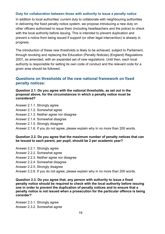#### **Duty for collaboration between those with authority to issue a penalty notice**

In addition to local authorities' current duty to collaborate with neighbouring authorities in delivering the fixed penalty notice system, we propose introducing a new duty on other officers authorised to issue them (including headteachers and the police) to check with the local authority before issuing. This is intended to prevent duplication and prevent a notice from being issued if support (or other legal intervention) is already in progress.

The introduction of these new thresholds is likely to be achieved, subject to Parliament, through revoking and replacing the Education (Penalty Notices) (England) Regulations 2007, as amended, with an expanded set of new regulations. Until then, each local authority is responsible for setting its own code of conduct and the relevant code for a given area should be followed.

## <span id="page-18-0"></span>**Questions on thresholds of the new national framework on fixed penalty notices:**

**Question 2.1. Do you agree with the national thresholds, as set out in the proposal above, for the circumstances in which a penalty notice must be considered?**

- Answer 2.1.1. Strongly agree
- Answer 2.1.2. Somewhat agree
- Answer 2.1.3. Neither agree nor disagree
- Answer 2.1.4. Somewhat disagree
- Answer 2.1.5. Strongly disagree
- Answer 2.1.6. If you do not agree, please explain why in no more than 200 words.

#### **Question 2.2. Do you agree that the maximum number of penalty notices that can be issued to each parent, per pupil, should be 2 per academic year?**

- Answer 2.2.1. Strongly agree
- Answer 2.2.2. Somewhat agree
- Answer 2.2.3. Neither agree nor disagree
- Answer 2.2.4. Somewhat disagree
- Answer 2.2.5. Strongly disagree
- Answer 2.2.6. If you do not agree, please explain why in no more than 200 words.

**Question 2.3. Do you agree that, any person with authority to issue a fixed penalty notice should be required to check with the local authority before issuing one in order to prevent the duplication of penalty notices and to ensure that a penalty notice is not issued when a prosecution for the particular offence is being consider?** 

Answer 2.3.1. Strongly agree Answer 2.3.2. Somewhat agree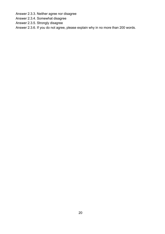Answer 2.3.3. Neither agree nor disagree

Answer 2.3.4. Somewhat disagree

Answer 2.3.5. Strongly disagree

Answer 2.3.6. If you do not agree, please explain why in no more than 200 words.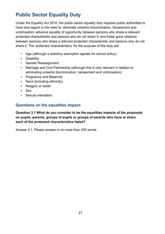# <span id="page-20-0"></span>**Public Sector Equality Duty**

Under the Equality Act 2010, the public sector equality duty requires public authorities to have due regard to the need to: eliminate unlawful discrimination, harassment and victimisation; advance equality of opportunity between persons who share a relevant protected characteristic and persons who do not share it; and foster good relations between persons who share a relevant protected characteristic and persons who do not share it. The 'protected characteristics' for the purpose of this duty are:

- Age (although a statutory exemption applies for school policy)
- Disability
- Gender Reassignment
- Marriage and Civil Partnership (although this is only relevant in relation to eliminating unlawful discrimination, harassment and victimisation)
- Pregnancy and Maternity
- Race (including ethnicity)
- Religion or belief
- Sex
- Sexual orientation

# <span id="page-20-1"></span>**Questions on the equalities impact:**

**Question 3.1 What do you consider to be the equalities impacts of the proposals on pupils, parents, groups of pupils or groups of parents who have or share each of the protected characteristics listed?** 

Answer 3.1. Please answer in no more than 200 words.